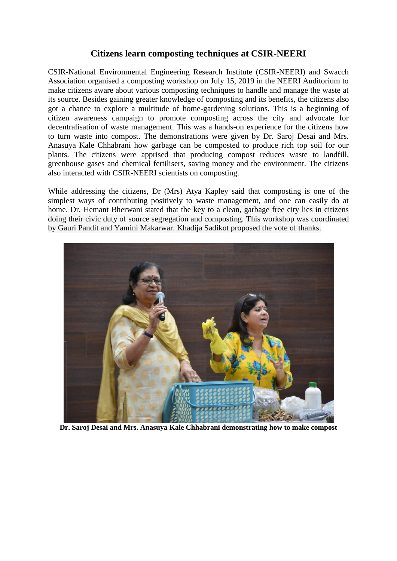## **Citizens learn composting techniques at CSIR-NEERI**

CSIR-National Environmental Engineering Research Institute (CSIR-NEERI) and Swacch Association organised a composting workshop on July 15, 2019 in the NEERI Auditorium to make citizens aware about various composting techniques to handle and manage the waste at its source. Besides gaining greater knowledge of composting and its benefits, the citizens also got a chance to explore a multitude of home-gardening solutions. This is a beginning of citizen awareness campaign to promote composting across the city and advocate for decentralisation of waste management. This was a hands-on experience for the citizens how to turn waste into compost. The demonstrations were given by Dr. Saroj Desai and Mrs. Anasuya Kale Chhabrani how garbage can be composted to produce rich top soil for our plants. The citizens were apprised that producing compost reduces waste to landfill, greenhouse gases and chemical fertilisers, saving money and the environment. The citizens also interacted with CSIR-NEERI scientists on composting.

While addressing the citizens, Dr (Mrs) Atya Kapley said that composting is one of the simplest ways of contributing positively to waste management, and one can easily do at home. Dr. Hemant Bherwani stated that the key to a clean, garbage free city lies in citizens doing their civic duty of source segregation and composting. This workshop was coordinated by Gauri Pandit and Yamini Makarwar. Khadija Sadikot proposed the vote of thanks.



**Dr. Saroj Desai and Mrs. Anasuya Kale Chhabrani demonstrating how to make compost**